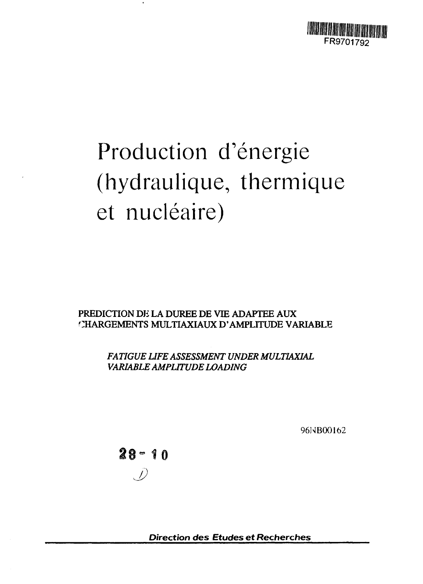

# Production d'énergie (hydraulique, thermique et nucléaire)

PREDICTION DE LA DUREE DE VIE ADAPTEE AUX **CHARGEMENTS MULTIAXIAUX D'AMPLITUDE VARIABLE**

> *FATIGUE LIFE ASSESSMENT UNDER MULTIAXIAL VARIABLE AMPLITUDE LOADING*

> > **96NB00162**

 $28 - 10$ 

**Direction des Etudes et Recherches**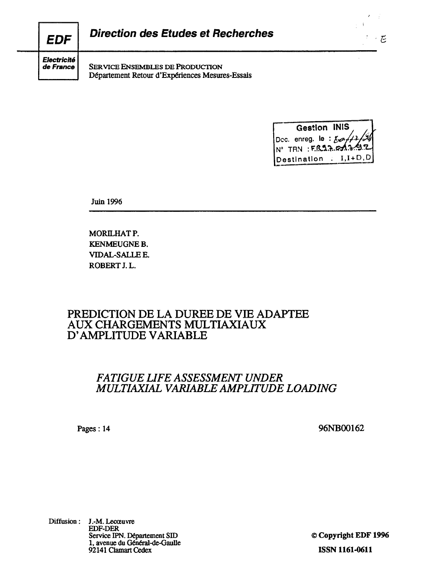| <b>EDF</b>          | <b>Direction des Etudes et Recherches</b> |
|---------------------|-------------------------------------------|
| $ $ Electricité $ $ |                                           |

SERVICE ENSEMBLES DE PRODUCTION D6partement Retour d'Experiences Mesures-Essais

**Gestlon INIS** Dec. enreg. le : **N° TRN :F.fto"** Destination . I, I+D, D

 $\cdot$  E

 $\overline{\phantom{a}}$ 

Juin 1996

de France

MORILHAT P. KENMEUGNE B. VIDAL-SALLEE. ROBERT J.L.

# **PREDICTION DE LA DUREE DE VIE ADAPTEE AUX CHARGEMENTS MULTIAXIAUX D' AMPLITUDE VARIABLE**

# *FATIGUE LIFE ASSESSMENT UNDER MULTIAXIAL VARIABLE AMPLITUDE LOADING*

Pages: 14 **96NB00162**

Diffusion: J.-M. Lecceuvre EDF-DER Service IPN. Departement SID 1, avenue du Général-de-Gaulle 92141 Clamart Cedex

© **Copyright EDF1996 ISSN 1161-0611**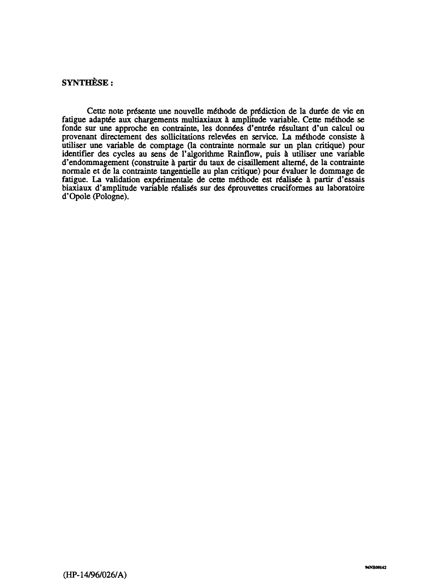## **SYNTHESE:**

**Cette note pre\*sente une nouvelle m6thode de prediction de la dur£e de vie en** fatigue adaptée aux chargements multiaxiaux à amplitude variable. Cette méthode se fonde sur une approche en contrainte, les données d'entrée résultant d'un calcul ou provenant directement des sollicitations relevées en service. La méthode consiste à **utiliser une variable de comptage (la contrainte normale sur un plan critique) pour identifier des cycles au sens de Talgorithme Rainflow, puis a utiliser une variable** d'endommagement (construite à partir du taux de cisaillement alterné, de la contrainte normale et de la contrainte tangentielle au plan critique) pour évaluer le dommage de fatigue. La validation expérimentale de cette méthode est réalisée à partir d'essais **biaxiaux d'amplitude variable r6alis6s sur des 6prouvettes cruciformes au laboratoire d'Opole (Pologne).**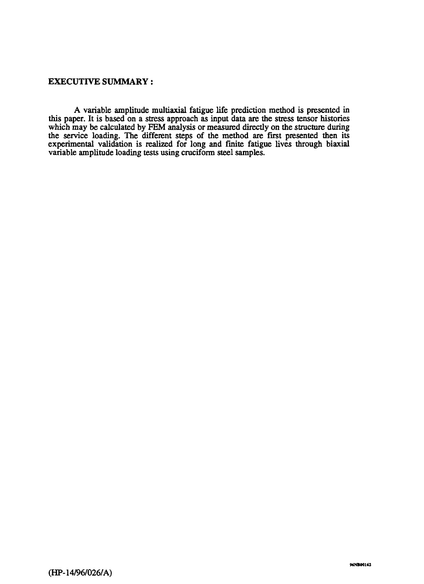#### **EXECUTIVE SUMMARY:**

**A variable amplitude multiaxial fatigue life prediction method is presented in this paper. It is based on a stress approach as input data are the stress tensor histories which may be calculated by FEM analysis or measured directly on the structure during the service loading. The different steps of the method are first presented then its experimental validation is realized for long and finite fatigue lives through biaxial variable amplitude loading tests using cruciform steel samples.**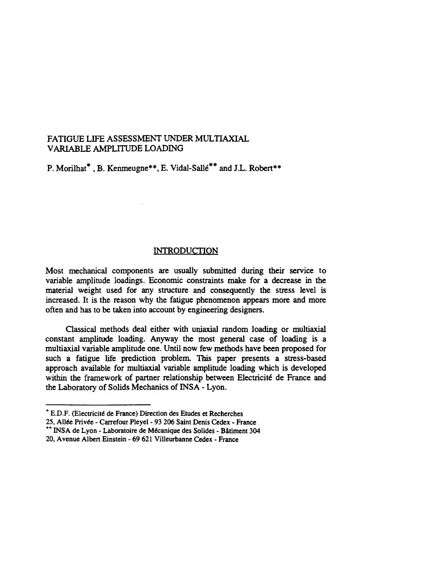#### **FATIGUE LIFE ASSESSMENT UNDER MULTIAXIAL VARIABLE AMPLITUDE LOADING**

**P. Morilhat\* , B. Kenmeugne\*\*, E. Vidal-Salle\*\* and J.L. Robert\*\***

#### **INTRODUCTION**

**Most mechanical components are usually submitted during their service to variable amplitude loadings. Economic constraints make for a decrease in the material weight used for any structure and consequently the stress level is increased. It is the reason why the fatigue phenomenon appears more and more often and has to be taken into account by engineering designers.**

**Classical methods deal either with uniaxial random loading or multiaxial constant amplitude loading. Anyway the most general case of loading is a multiaxial variable amplitude one. Until now few methods have been proposed for such a fatigue life prediction problem. This paper presents a stress-based approach available for multiaxial variable amplitude loading which is developed** within the framework of partner relationship between Electricité de France and **the Laboratory of Solids Mechanics of INS A - Lyon.**

**<sup>\*</sup> E.D.F. (Electricity de France) Direction des Etudes et Recherches**

<sup>25,</sup> Allée Privée - Carrefour Pleyel - 93 206 Saint Denis Cedex - France

**<sup>\*\*</sup> INS A de Lyon - Laboratoire de Mecanique des Solides - Batiment 304 20, Avenue Albert Einstein - 69 621 Villeurbanne Cedex - France**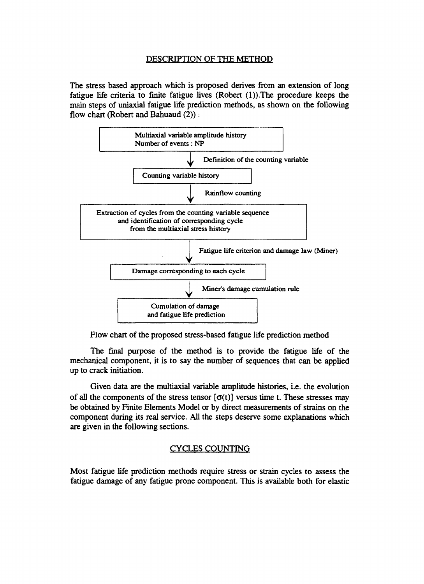#### **DESCRIPTION OF THE METHOD**

**The stress based approach which is proposed derives from an extension of long fatigue life criteria to finite fatigue lives (Robert (l)).The procedure keeps the main steps of uniaxial fatigue life prediction methods, as shown on the following flow chart (Robert and Bahuaud (2)):**



**Flow chart of the proposed stress-based fatigue life prediction method**

**The final purpose of the method is to provide the fatigue life of the mechanical component, it is to say the number of sequences that can be applied up to crack initiation.**

**Given data are the multiaxial variable amplitude histories, i.e. the evolution** of all the components of the stress tensor  $[\sigma(t)]$  versus time t. These stresses may **be obtained by Finite Elements Model or by direct measurements of strains on the component during its real service. All the steps deserve some explanations which are given in the following sections.**

## **CYCLES COUNTING**

**Most fatigue life prediction methods require stress or strain cycles to assess the fatigue damage of any fatigue prone component. This is available both for elastic**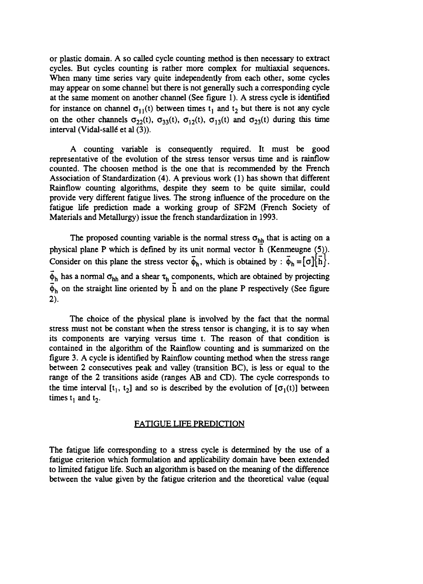**or plastic domain. A so called cycle counting method is then necessary to extract cycles. But cycles counting is rather more complex for multiaxial sequences. When many time series vary quite independently from each other, some cycles may appear on some channel but there is not generally such a corresponding cycle at the same moment on another channel (See figure 1). A stress cycle is identified** for instance on channel  $\sigma_{11}(t)$  between times  $t_1$  and  $t_2$  but there is not any cycle on the other channels  $\sigma_{22}(t)$ ,  $\sigma_{33}(t)$ ,  $\sigma_{12}(t)$ ,  $\sigma_{13}(t)$  and  $\sigma_{23}(t)$  during this time interval (Vidal-sallé et al (3)).

**A counting variable is consequently required. It must be good representative of the evolution of the stress tensor versus time and is rainflow counted. The choosen method is the one that is recommended by the French Association of Standardization (4). A previous work (1) has shown that different Rainflow counting algorithms, despite they seem to be quite similar, could provide very different fatigue lives. The strong influence of the procedure on the fatigue life prediction made a working group of SF2M (French Society of Materials and Metallurgy) issue the french standardization in 1993.**

The proposed counting variable is the normal stress  $\sigma_{h\underline{h}}$  that is acting on a **physical plane P which is defined by its unit normal vector h (Kenmeugne (5)).** Consider on this plane the stress vector  $\vec{\phi}_h$ , which is obtained by :  $\vec{\phi}_h = [\sigma]\{\vec{h}\}.$ 

 $\bar{\phi}_h$  has a normal  $\sigma_{hh}$  and a shear  $\tau_h$  components, which are obtained by projecting  $\bar{\phi}_h$  on the straight line oriented by  $\bar{h}$  and on the plane P respectively (See figure **2).**

**The choice of the physical plane is involved by the fact that the normal stress must not be constant when the stress tensor is changing, it is to say when its components are varying versus time t. The reason of that condition is contained in the algorithm of the Rainflow counting and is summarized on the figure 3. A cycle is identified by Rainflow counting method when the stress range between 2 consecutives peak and valley (transition BC), is less or equal to the range of the 2 transitions aside (ranges AB and CD). The cycle corresponds to** the time interval  $[t_1, t_2]$  and so is described by the evolution of  $[\sigma_1(t)]$  between times  $t_1$  and  $t_2$ .

#### **FATIGUE LIFE PREDICTION**

**The fatigue life corresponding to a stress cycle is determined by the use of a fatigue criterion which formulation and applicability domain have been extended to limited fatigue life. Such an algorithm is based on the meaning of the difference between the value given by the fatigue criterion and the theoretical value (equal**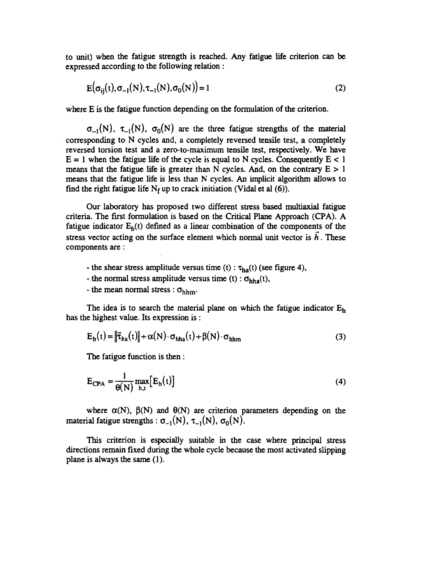**to unit) when the fatigue strength is reached. Any fatigue life criterion can be expressed according to the following relation :**

$$
E(\sigma_{ij}(t), \sigma_{-1}(N), \tau_{-1}(N), \sigma_0(N)) = 1
$$
 (2)

**where E is the fatigue function depending on the formulation of the criterion.**

 $\sigma_{-1}(N)$ ,  $\tau_{-1}(N)$ ,  $\sigma_0(N)$  are the three fatigue strengths of the material **corresponding to N cycles and, a completely reversed tensile test, a completely reversed torsion test and a zero-to-maximum tensile test, respectively. We have**  $E = 1$  when the fatigue life of the cycle is equal to N cycles. Consequently  $E < 1$ means that the fatigue life is greater than N cycles. And, on the contrary  $E > 1$ **means that the fatigue life is less than N cycles. An implicit algorithm allows to** find the right fatigue life  $N_f$  up to crack initiation (Vidal et al  $(6)$ ).

**Our laboratory has proposed two different stress based multiaxial fatigue criteria. The first formulation is based on the Critical Plane Approach (CPA). A fatigue indicator Eh(t) defined as a linear combination of the components of the** stress vector acting on the surface element which normal unit vector is  $\overline{h}$ . These **components are :**

- the shear stress amplitude versus time  $(t)$ :  $\tau_{ha}(t)$  (see figure 4),
- the normal stress amplitude versus time  $(t)$ :  $\sigma_{hha}(t)$ ,
- **the mean normal stress :**  $\sigma_{\text{hhm}}$ **.**

**The idea is to search the material plane on which the fatigue indicator E<sup>h</sup> has the highest value. Its expression is :**

$$
E_h(t) = \left\| \vec{\tau}_{ha}(t) \right\| + \alpha(N) \cdot \sigma_{hha}(t) + \beta(N) \cdot \sigma_{hhm}
$$
 (3)

**The fatigue function is then :**

$$
E_{CPA} = \frac{1}{\theta(N)} \max_{h,t} [E_h(t)]
$$
 (4)

where  $\alpha(N)$ ,  $\beta(N)$  and  $\theta(N)$  are criterion parameters depending on the **material fatigue strengths :**  $\sigma_{-1}(N)$ **,**  $\tau_{-1}(N)$ **,**  $\sigma_0(N)$ **.** 

**This criterion is especially suitable in the case where principal stress directions remain fixed during the whole cycle because the most activated slipping plane is always the same (1).**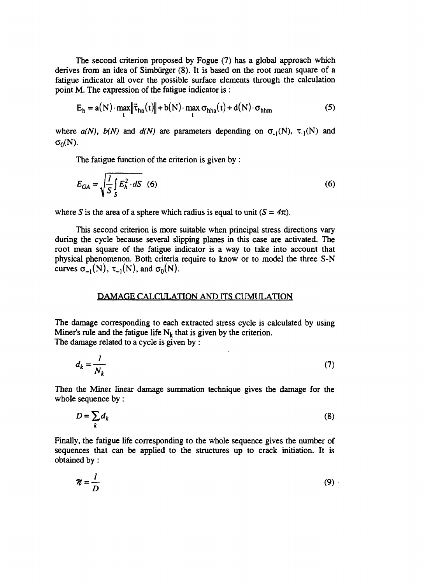**The second criterion proposed by Fogue (7) has a global approach which derives from an idea of Simbiirger (8). It is based on the root mean square of a fatigue indicator all over the possible surface elements through the calculation point M. The expression of the fatigue indicator is :**

$$
E_h = a(N) \cdot \max_t \|\vec{\tau}_{ha}(t)\| + b(N) \cdot \max_t \sigma_{hha}(t) + d(N) \cdot \sigma_{hhm}
$$
 (5)

where  $a(N)$ ,  $b(N)$  and  $d(N)$  are parameters depending on  $\sigma_{1}(N)$ ,  $\tau_{1}(N)$  and  $\sigma_0(N)$ .

**The fatigue function of the criterion is given by :**

$$
E_{GA} = \sqrt{\frac{I}{S} \int_{S} E_h^2 \cdot dS} \quad (6)
$$

where *S* is the area of a sphere which radius is equal to unit  $(S = 4\pi)$ .

**This second criterion is more suitable when principal stress directions vary during the cycle because several slipping planes in this case are activated. The root mean square of the fatigue indicator is a way to take into account that physical phenomenon. Both criteria require to know or to model the three S-N curves**  $\sigma_{-1}(N)$ ,  $\tau_{-1}(N)$ , and  $\sigma_0(N)$ .

#### **DAMAGE CALCULATION AND ITS CUMULATION**

**The damage corresponding to each extracted stress cycle is calculated by using Miner's rule and the fatigue life**  $N_k$  **that is given by the criterion. The damage related to a cycle is given by :**

$$
d_k = \frac{I}{N_k} \tag{7}
$$

**Then the Miner linear damage summation technique gives the damage for the whole sequence by:**

$$
D = \sum_{k} d_k \tag{8}
$$

**Finally, the fatigue life corresponding to the whole sequence gives the number of sequences that can be applied to the structures up to crack initiation. It is obtained by:**

$$
\mathcal{U} = \frac{I}{D} \tag{9}
$$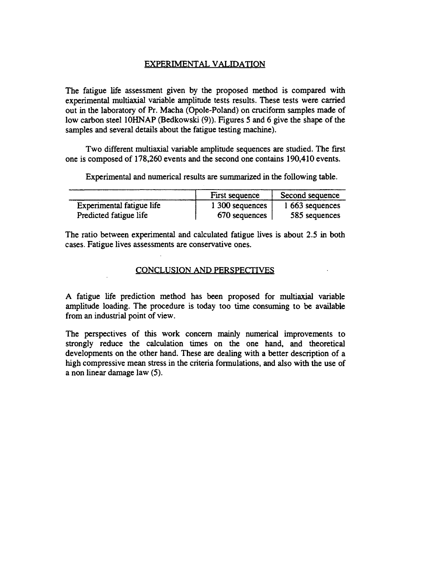## **EXPERIMENTAL VALIDATION**

**The fatigue life assessment given by the proposed method is compared with experimental multiaxial variable amplitude tests results. These tests were carried out in the laboratory of Pr. Macha (Opole-Poland) on cruciform samples made of low carbon steel 10HNAP (Bedkowski (9)). Figures 5 and 6 give the shape of the samples and several details about the fatigue testing machine).**

**Two different multiaxial variable amplitude sequences are studied. The first one is composed of 178,260 events and the second one contains 190,410 events.**

**Experimental and numerical results are summarized in the following table.**

|                           | First sequence  | Second sequence |
|---------------------------|-----------------|-----------------|
| Experimental fatigue life | 1 300 sequences | 1 663 sequences |
| Predicted fatigue life    | 670 sequences   | 585 sequences   |

**The ratio between experimental and calculated fatigue lives is about 2.5 in both cases. Fatigue lives assessments are conservative ones.**

#### **CONCLUSION AND PERSPECTIVES**

**A fatigue life prediction method has been proposed for multiaxial variable amplitude loading. The procedure is today too time consuming to be available from an industrial point of view.**

**The perspectives of this work concern mainly numerical improvements to strongly reduce the calculation times on the one hand, and theoretical developments on the other hand. These are dealing with a better description of a high compressive mean stress in the criteria formulations, and also with the use of a non linear damage law (5).**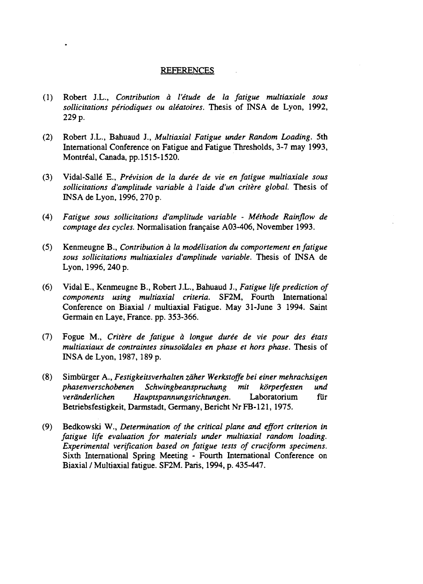#### **REFERENCES**

- **(1) Robert J.L.,** *Contribution a I'etude de la fatigue multiaxiale sous solicitations periodiques ou aleatoires.* **Thesis of INSA de Lyon, 1992, 229 p.**
- **(2) Robert J.L., Bahuaud J.,** *Multiaxial Fatigue under Random Loading.* **5th International Conference on Fatigue and Fatigue Thresholds, 3-7 may 1993, Montreal, Canada, pp. 1515-1520.**
- **(3) Vidal-Salle E.,** *Prevision de la duree de vie en fatigue multiaxiale sous solicitations d'amplitude variable a Vaide d'un critere global.* **Thesis of INSA de Lyon, 1996, 270 p.**
- **(4)** *Fatigue sous solicitations d'amplitude variable Methode Rainflow de comptage des cycles.* **Normalisation fran9aise A03-406, November 1993.**
- **(5) Kenmeugne B.,** *Contribution a la modelisation du comportement en fatigue sous solicitations multiaxiales d'amplitude variable.* **Thesis of INSA de Lyon, 1996, 240 p.**
- **(6) Vidal E., Kenmeugne B., Robert J.L., Bahuaud J.,** *Fatigue life prediction of components using multiaxial criteria.* **SF2M, Fourth International Conference on Biaxial / multiaxial Fatigue. May 31-June 3 1994. Saint Germain en Laye, France, pp. 353-366.**
- **(7) Fogue M.,** *Critere de fatigue a longue duree de vie pour des etats multiaxiaux de contraintes sinusoidales en phase et hors phase.* **Thesis of INSA de Lyon, 1987, 189 p.**
- **(8) Simbiirger A.,** *Festigkeitsverhalten zdher Werkstoffe bei einer mehrachsigen phasenverschobenen Schwingbeanspruchung mit korperfesten und verdnderlichen Hauptspannungsrichtungen.* **Laboratorium fur Betriebsfestigkeit, Darmstadt, Germany, Bericht Nr FB-121, 1975.**
- **(9) Bedkowski W.,** *Determination of the critical plane and effort criterion in fatigue life evaluation for materials under multiaxial random loading. Experimental verification based on fatigue tests of cruciform specimens.* **Sixth International Spring Meeting - Fourth International Conference on Biaxial / Multiaxial fatigue. SF2M. Paris, 1994, p. 435-447.**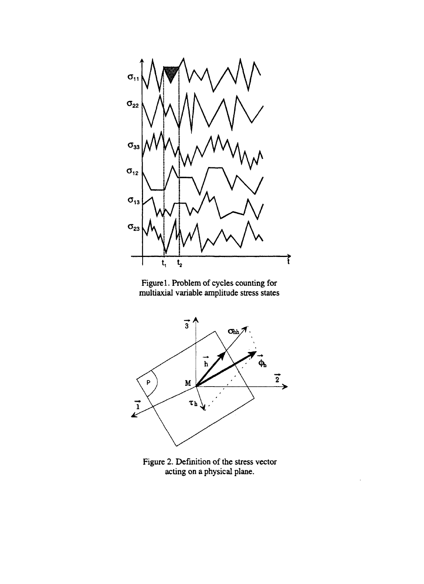

**Figure 1. Problem of cycles counting for multiaxial variable amplitude stress states**



**Figure 2. Definition of the stress vector acting on a physical plane.**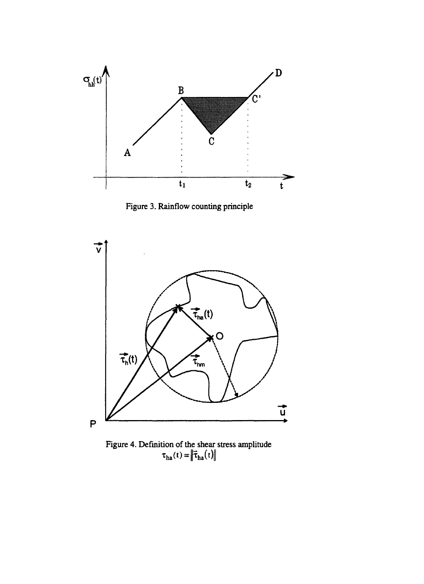

**Figure 3. Rainflow counting principle**



**Figure 4. Definition of the shear stress amplitude |**